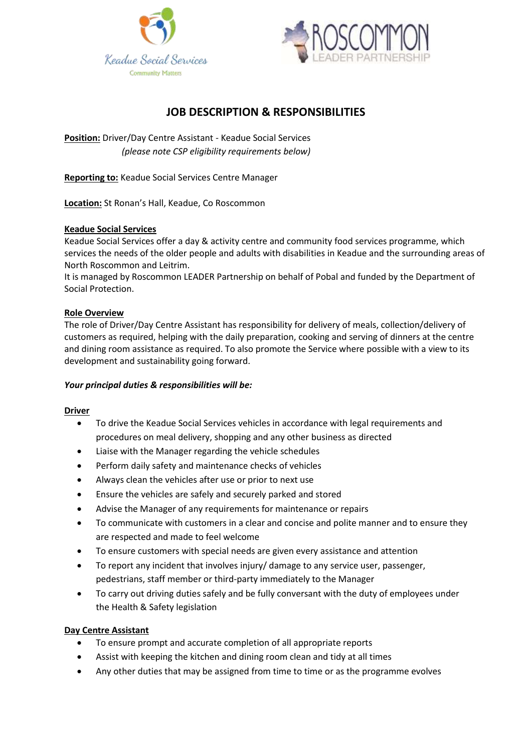



# **JOB DESCRIPTION & RESPONSIBILITIES**

**Position:** Driver/Day Centre Assistant - Keadue Social Services *(please note CSP eligibility requirements below)* 

**Reporting to:** Keadue Social Services Centre Manager

**Location:** St Ronan's Hall, Keadue, Co Roscommon

## **Keadue Social Services**

Keadue Social Services offer a day & activity centre and community food services programme, which services the needs of the older people and adults with disabilities in Keadue and the surrounding areas of North Roscommon and Leitrim.

It is managed by Roscommon LEADER Partnership on behalf of Pobal and funded by the Department of Social Protection.

## **Role Overview**

The role of Driver/Day Centre Assistant has responsibility for delivery of meals, collection/delivery of customers as required, helping with the daily preparation, cooking and serving of dinners at the centre and dining room assistance as required. To also promote the Service where possible with a view to its development and sustainability going forward.

#### *Your principal duties & responsibilities will be:*

#### **Driver**

- To drive the Keadue Social Services vehicles in accordance with legal requirements and procedures on meal delivery, shopping and any other business as directed
- Liaise with the Manager regarding the vehicle schedules
- Perform daily safety and maintenance checks of vehicles
- Always clean the vehicles after use or prior to next use
- Ensure the vehicles are safely and securely parked and stored
- Advise the Manager of any requirements for maintenance or repairs
- To communicate with customers in a clear and concise and polite manner and to ensure they are respected and made to feel welcome
- To ensure customers with special needs are given every assistance and attention
- To report any incident that involves injury/ damage to any service user, passenger, pedestrians, staff member or third-party immediately to the Manager
- To carry out driving duties safely and be fully conversant with the duty of employees under the Health & Safety legislation

## **Day Centre Assistant**

- To ensure prompt and accurate completion of all appropriate reports
- Assist with keeping the kitchen and dining room clean and tidy at all times
- Any other duties that may be assigned from time to time or as the programme evolves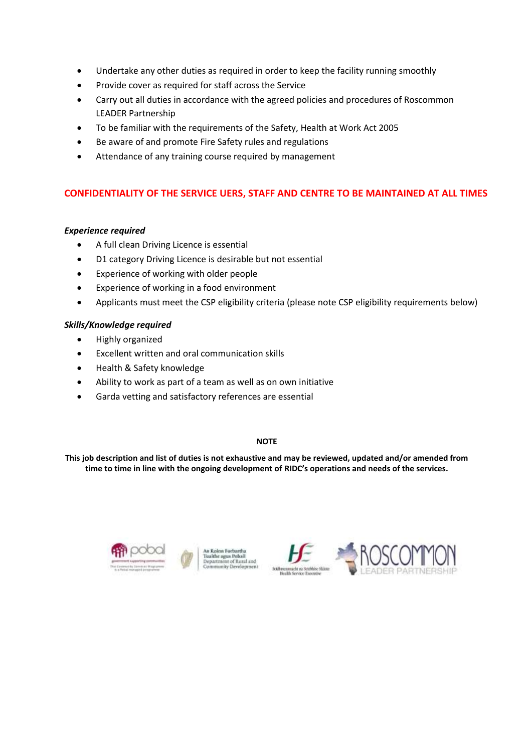- Undertake any other duties as required in order to keep the facility running smoothly
- Provide cover as required for staff across the Service
- Carry out all duties in accordance with the agreed policies and procedures of Roscommon LEADER Partnership
- To be familiar with the requirements of the Safety, Health at Work Act 2005
- Be aware of and promote Fire Safety rules and regulations
- Attendance of any training course required by management

## **CONFIDENTIALITY OF THE SERVICE UERS, STAFF AND CENTRE TO BE MAINTAINED AT ALL TIMES**

#### *Experience required*

- A full clean Driving Licence is essential
- D1 category Driving Licence is desirable but not essential
- Experience of working with older people
- Experience of working in a food environment
- Applicants must meet the CSP eligibility criteria (please note CSP eligibility requirements below)

#### *Skills/Knowledge required*

- Highly organized
- Excellent written and oral communication skills
- Health & Safety knowledge
- Ability to work as part of a team as well as on own initiative
- Garda vetting and satisfactory references are essential

#### **NOTE**

**This job description and list of duties is not exhaustive and may be reviewed, updated and/or amended from time to time in line with the ongoing development of RIDC's operations and needs of the services.**